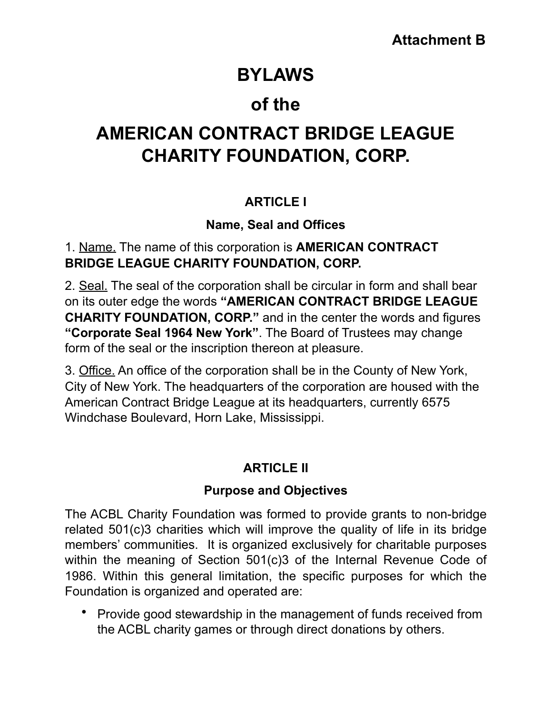# **BYLAWS**

# **of the**

# **AMERICAN CONTRACT BRIDGE LEAGUE CHARITY FOUNDATION, CORP.**

# **ARTICLE I**

## **Name, Seal and Offices**

### 1. Name. The name of this corporation is **AMERICAN CONTRACT BRIDGE LEAGUE CHARITY FOUNDATION, CORP.**

2. Seal. The seal of the corporation shall be circular in form and shall bear on its outer edge the words **"AMERICAN CONTRACT BRIDGE LEAGUE CHARITY FOUNDATION, CORP."** and in the center the words and figures **"Corporate Seal 1964 New York"**. The Board of Trustees may change form of the seal or the inscription thereon at pleasure.

3. Office. An office of the corporation shall be in the County of New York, City of New York. The headquarters of the corporation are housed with the American Contract Bridge League at its headquarters, currently 6575 Windchase Boulevard, Horn Lake, Mississippi.

# **ARTICLE II**

### **Purpose and Objectives**

The ACBL Charity Foundation was formed to provide grants to non-bridge related 501(c)3 charities which will improve the quality of life in its bridge members' communities. It is organized exclusively for charitable purposes within the meaning of Section 501(c)3 of the Internal Revenue Code of 1986. Within this general limitation, the specific purposes for which the Foundation is organized and operated are:

• Provide good stewardship in the management of funds received from the ACBL charity games or through direct donations by others.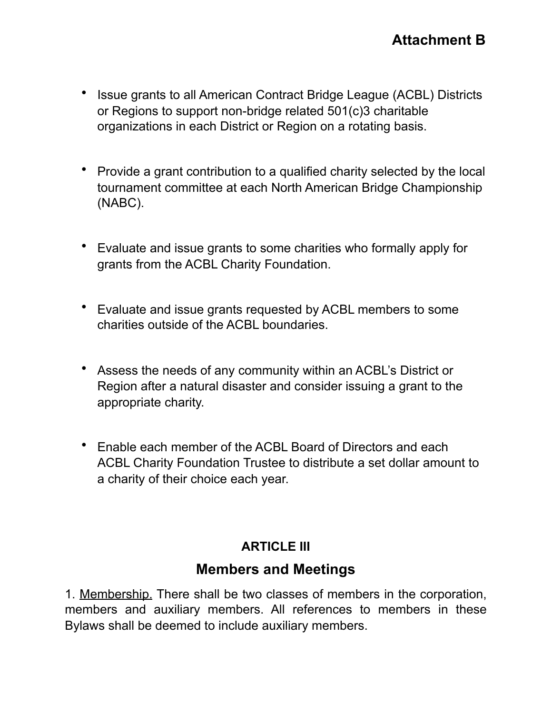- Issue grants to all American Contract Bridge League (ACBL) Districts or Regions to support non-bridge related 501(c)3 charitable organizations in each District or Region on a rotating basis.
- Provide a grant contribution to a qualified charity selected by the local tournament committee at each North American Bridge Championship (NABC).
- Evaluate and issue grants to some charities who formally apply for grants from the ACBL Charity Foundation.
- Evaluate and issue grants requested by ACBL members to some charities outside of the ACBL boundaries.
- Assess the needs of any community within an ACBL's District or Region after a natural disaster and consider issuing a grant to the appropriate charity.
- Enable each member of the ACBL Board of Directors and each ACBL Charity Foundation Trustee to distribute a set dollar amount to a charity of their choice each year.

### **ARTICLE III**

## **Members and Meetings**

1. Membership. There shall be two classes of members in the corporation, members and auxiliary members. All references to members in these Bylaws shall be deemed to include auxiliary members.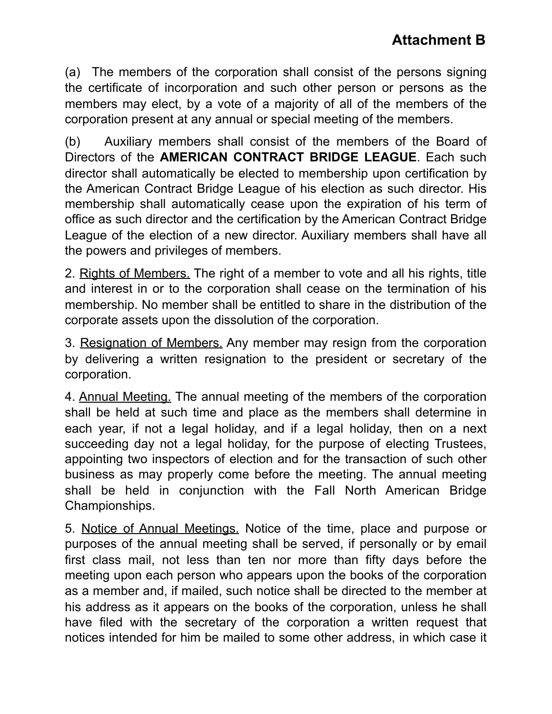(a) The members of the corporation shall consist of the persons signing the certificate of incorporation and such other person or persons as the members may elect, by a vote of a majority of all of the members of the corporation present at any annual or special meeting of the members.

(b) Auxiliary members shall consist of the members of the Board of Directors of the **AMERICAN CONTRACT BRIDGE LEAGUE**. Each such director shall automatically be elected to membership upon certification by the American Contract Bridge League of his election as such director. His membership shall automatically cease upon the expiration of his term of office as such director and the certification by the American Contract Bridge League of the election of a new director. Auxiliary members shall have all the powers and privileges of members.

2. Rights of Members. The right of a member to vote and all his rights, title and interest in or to the corporation shall cease on the termination of his membership. No member shall be entitled to share in the distribution of the corporate assets upon the dissolution of the corporation.

3. Resignation of Members. Any member may resign from the corporation by delivering a written resignation to the president or secretary of the corporation.

4. Annual Meeting. The annual meeting of the members of the corporation shall be held at such time and place as the members shall determine in each year, if not a legal holiday, and if a legal holiday, then on a next succeeding day not a legal holiday, for the purpose of electing Trustees, appointing two inspectors of election and for the transaction of such other business as may properly come before the meeting. The annual meeting shall be held in conjunction with the Fall North American Bridge Championships.

5. Notice of Annual Meetings. Notice of the time, place and purpose or purposes of the annual meeting shall be served, if personally or by email first class mail, not less than ten nor more than fifty days before the meeting upon each person who appears upon the books of the corporation as a member and, if mailed, such notice shall be directed to the member at his address as it appears on the books of the corporation, unless he shall have filed with the secretary of the corporation a written request that notices intended for him be mailed to some other address, in which case it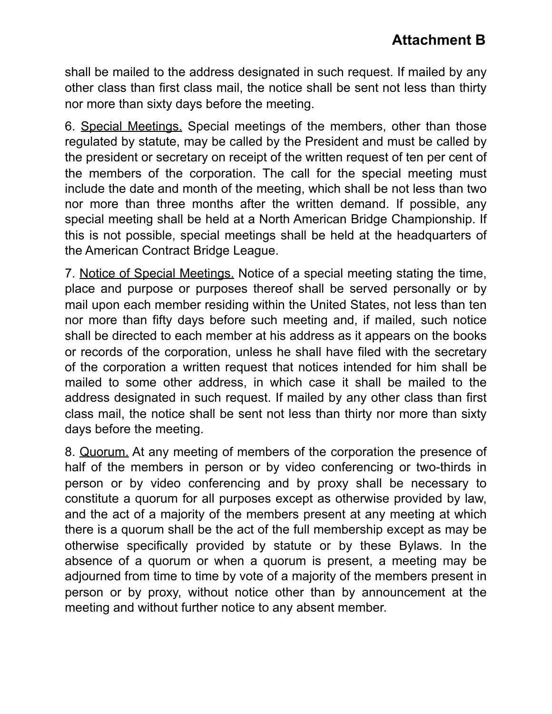shall be mailed to the address designated in such request. If mailed by any other class than first class mail, the notice shall be sent not less than thirty nor more than sixty days before the meeting.

6. Special Meetings. Special meetings of the members, other than those regulated by statute, may be called by the President and must be called by the president or secretary on receipt of the written request of ten per cent of the members of the corporation. The call for the special meeting must include the date and month of the meeting, which shall be not less than two nor more than three months after the written demand. If possible, any special meeting shall be held at a North American Bridge Championship. If this is not possible, special meetings shall be held at the headquarters of the American Contract Bridge League.

7. Notice of Special Meetings. Notice of a special meeting stating the time, place and purpose or purposes thereof shall be served personally or by mail upon each member residing within the United States, not less than ten nor more than fifty days before such meeting and, if mailed, such notice shall be directed to each member at his address as it appears on the books or records of the corporation, unless he shall have filed with the secretary of the corporation a written request that notices intended for him shall be mailed to some other address, in which case it shall be mailed to the address designated in such request. If mailed by any other class than first class mail, the notice shall be sent not less than thirty nor more than sixty days before the meeting.

8. Quorum. At any meeting of members of the corporation the presence of half of the members in person or by video conferencing or two-thirds in person or by video conferencing and by proxy shall be necessary to constitute a quorum for all purposes except as otherwise provided by law, and the act of a majority of the members present at any meeting at which there is a quorum shall be the act of the full membership except as may be otherwise specifically provided by statute or by these Bylaws. In the absence of a quorum or when a quorum is present, a meeting may be adjourned from time to time by vote of a majority of the members present in person or by proxy, without notice other than by announcement at the meeting and without further notice to any absent member.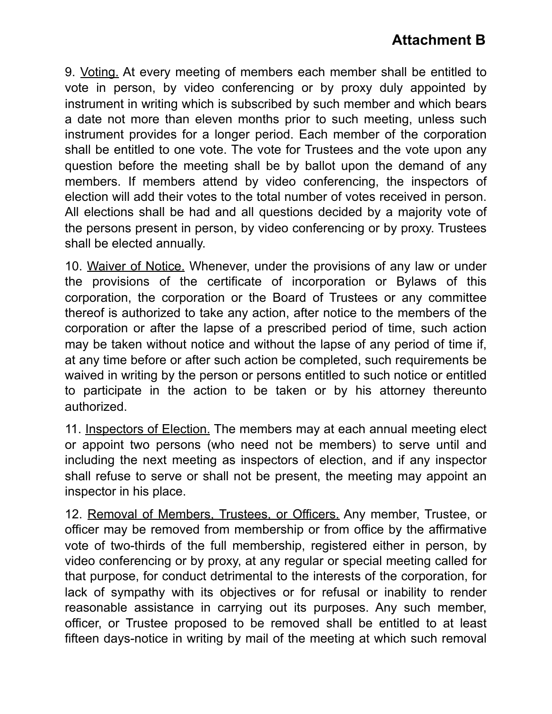9. Voting. At every meeting of members each member shall be entitled to vote in person, by video conferencing or by proxy duly appointed by instrument in writing which is subscribed by such member and which bears a date not more than eleven months prior to such meeting, unless such instrument provides for a longer period. Each member of the corporation shall be entitled to one vote. The vote for Trustees and the vote upon any question before the meeting shall be by ballot upon the demand of any members. If members attend by video conferencing, the inspectors of election will add their votes to the total number of votes received in person. All elections shall be had and all questions decided by a majority vote of the persons present in person, by video conferencing or by proxy. Trustees shall be elected annually.

10. Waiver of Notice. Whenever, under the provisions of any law or under the provisions of the certificate of incorporation or Bylaws of this corporation, the corporation or the Board of Trustees or any committee thereof is authorized to take any action, after notice to the members of the corporation or after the lapse of a prescribed period of time, such action may be taken without notice and without the lapse of any period of time if, at any time before or after such action be completed, such requirements be waived in writing by the person or persons entitled to such notice or entitled to participate in the action to be taken or by his attorney thereunto authorized.

11. Inspectors of Election. The members may at each annual meeting elect or appoint two persons (who need not be members) to serve until and including the next meeting as inspectors of election, and if any inspector shall refuse to serve or shall not be present, the meeting may appoint an inspector in his place.

12. Removal of Members, Trustees, or Officers. Any member, Trustee, or officer may be removed from membership or from office by the affirmative vote of two-thirds of the full membership, registered either in person, by video conferencing or by proxy, at any regular or special meeting called for that purpose, for conduct detrimental to the interests of the corporation, for lack of sympathy with its objectives or for refusal or inability to render reasonable assistance in carrying out its purposes. Any such member, officer, or Trustee proposed to be removed shall be entitled to at least fifteen days-notice in writing by mail of the meeting at which such removal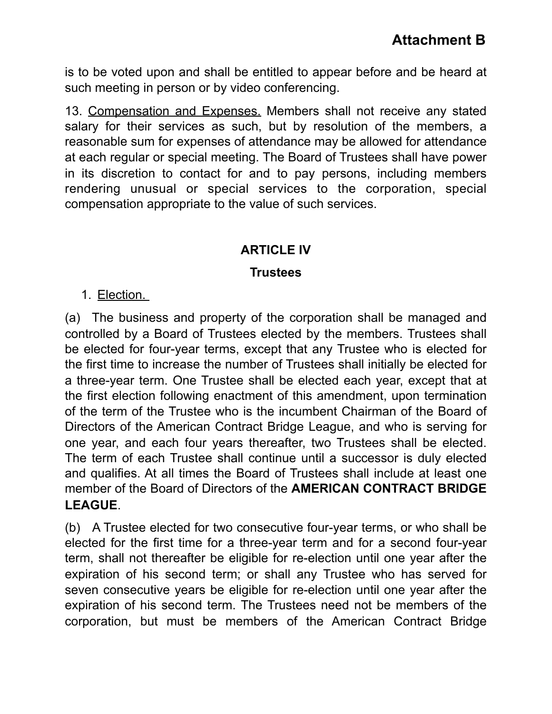is to be voted upon and shall be entitled to appear before and be heard at such meeting in person or by video conferencing.

13. Compensation and Expenses. Members shall not receive any stated salary for their services as such, but by resolution of the members, a reasonable sum for expenses of attendance may be allowed for attendance at each regular or special meeting. The Board of Trustees shall have power in its discretion to contact for and to pay persons, including members rendering unusual or special services to the corporation, special compensation appropriate to the value of such services.

#### **ARTICLE IV**

#### **Trustees**

#### 1. Election.

(a) The business and property of the corporation shall be managed and controlled by a Board of Trustees elected by the members. Trustees shall be elected for four-year terms, except that any Trustee who is elected for the first time to increase the number of Trustees shall initially be elected for a three-year term. One Trustee shall be elected each year, except that at the first election following enactment of this amendment, upon termination of the term of the Trustee who is the incumbent Chairman of the Board of Directors of the American Contract Bridge League, and who is serving for one year, and each four years thereafter, two Trustees shall be elected. The term of each Trustee shall continue until a successor is duly elected and qualifies. At all times the Board of Trustees shall include at least one member of the Board of Directors of the **AMERICAN CONTRACT BRIDGE LEAGUE**.

(b) A Trustee elected for two consecutive four-year terms, or who shall be elected for the first time for a three-year term and for a second four-year term, shall not thereafter be eligible for re-election until one year after the expiration of his second term; or shall any Trustee who has served for seven consecutive years be eligible for re-election until one year after the expiration of his second term. The Trustees need not be members of the corporation, but must be members of the American Contract Bridge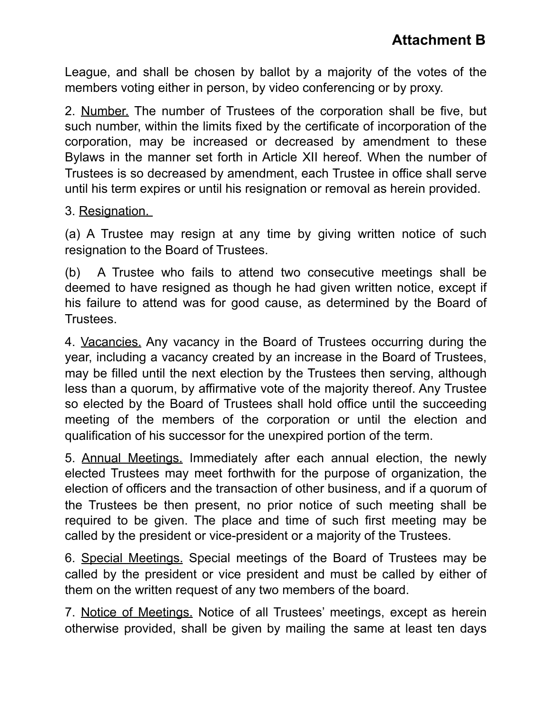League, and shall be chosen by ballot by a majority of the votes of the members voting either in person, by video conferencing or by proxy.

2. Number. The number of Trustees of the corporation shall be five, but such number, within the limits fixed by the certificate of incorporation of the corporation, may be increased or decreased by amendment to these Bylaws in the manner set forth in Article XII hereof. When the number of Trustees is so decreased by amendment, each Trustee in office shall serve until his term expires or until his resignation or removal as herein provided.

#### 3. Resignation.

(a) A Trustee may resign at any time by giving written notice of such resignation to the Board of Trustees.

(b) A Trustee who fails to attend two consecutive meetings shall be deemed to have resigned as though he had given written notice, except if his failure to attend was for good cause, as determined by the Board of Trustees.

4. Vacancies. Any vacancy in the Board of Trustees occurring during the year, including a vacancy created by an increase in the Board of Trustees, may be filled until the next election by the Trustees then serving, although less than a quorum, by affirmative vote of the majority thereof. Any Trustee so elected by the Board of Trustees shall hold office until the succeeding meeting of the members of the corporation or until the election and qualification of his successor for the unexpired portion of the term.

5. Annual Meetings. Immediately after each annual election, the newly elected Trustees may meet forthwith for the purpose of organization, the election of officers and the transaction of other business, and if a quorum of the Trustees be then present, no prior notice of such meeting shall be required to be given. The place and time of such first meeting may be called by the president or vice-president or a majority of the Trustees.

6. Special Meetings. Special meetings of the Board of Trustees may be called by the president or vice president and must be called by either of them on the written request of any two members of the board.

7. Notice of Meetings. Notice of all Trustees' meetings, except as herein otherwise provided, shall be given by mailing the same at least ten days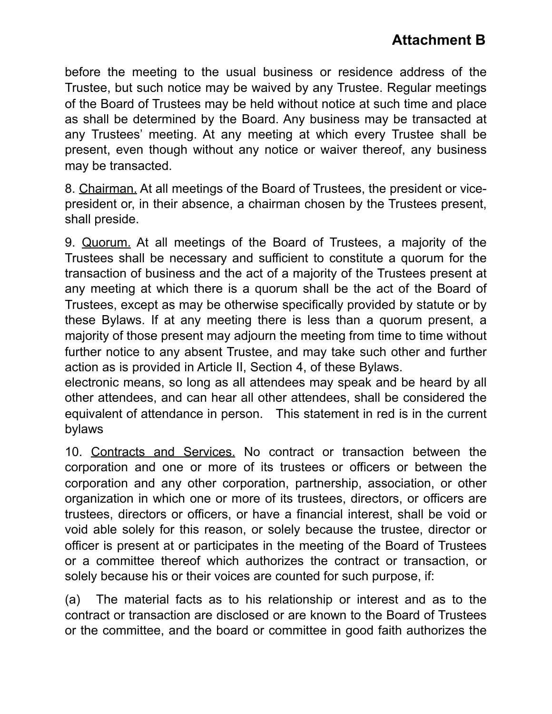before the meeting to the usual business or residence address of the Trustee, but such notice may be waived by any Trustee. Regular meetings of the Board of Trustees may be held without notice at such time and place as shall be determined by the Board. Any business may be transacted at any Trustees' meeting. At any meeting at which every Trustee shall be present, even though without any notice or waiver thereof, any business may be transacted.

8. Chairman. At all meetings of the Board of Trustees, the president or vicepresident or, in their absence, a chairman chosen by the Trustees present, shall preside.

9. Quorum. At all meetings of the Board of Trustees, a majority of the Trustees shall be necessary and sufficient to constitute a quorum for the transaction of business and the act of a majority of the Trustees present at any meeting at which there is a quorum shall be the act of the Board of Trustees, except as may be otherwise specifically provided by statute or by these Bylaws. If at any meeting there is less than a quorum present, a majority of those present may adjourn the meeting from time to time without further notice to any absent Trustee, and may take such other and further action as is provided in Article II, Section 4, of these Bylaws.

electronic means, so long as all attendees may speak and be heard by all other attendees, and can hear all other attendees, shall be considered the equivalent of attendance in person. This statement in red is in the current bylaws

10. Contracts and Services. No contract or transaction between the corporation and one or more of its trustees or officers or between the corporation and any other corporation, partnership, association, or other organization in which one or more of its trustees, directors, or officers are trustees, directors or officers, or have a financial interest, shall be void or void able solely for this reason, or solely because the trustee, director or officer is present at or participates in the meeting of the Board of Trustees or a committee thereof which authorizes the contract or transaction, or solely because his or their voices are counted for such purpose, if:

(a) The material facts as to his relationship or interest and as to the contract or transaction are disclosed or are known to the Board of Trustees or the committee, and the board or committee in good faith authorizes the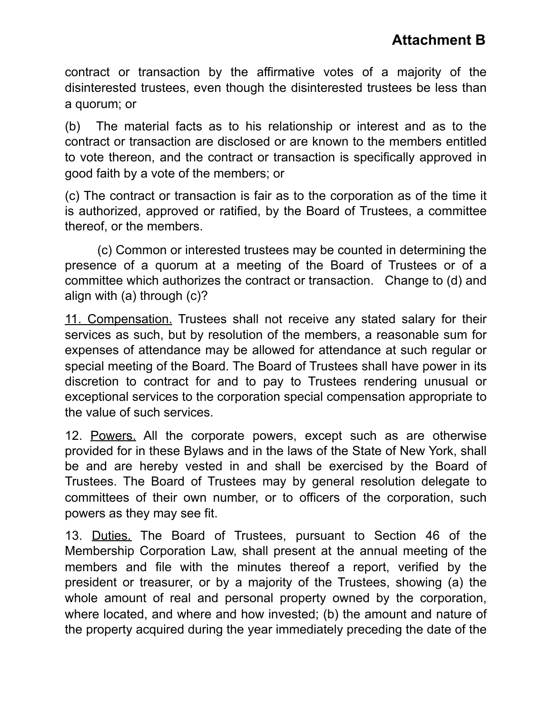contract or transaction by the affirmative votes of a majority of the disinterested trustees, even though the disinterested trustees be less than a quorum; or

(b) The material facts as to his relationship or interest and as to the contract or transaction are disclosed or are known to the members entitled to vote thereon, and the contract or transaction is specifically approved in good faith by a vote of the members; or

(c) The contract or transaction is fair as to the corporation as of the time it is authorized, approved or ratified, by the Board of Trustees, a committee thereof, or the members.

(c) Common or interested trustees may be counted in determining the presence of a quorum at a meeting of the Board of Trustees or of a committee which authorizes the contract or transaction. Change to (d) and align with (a) through (c)?

11. Compensation. Trustees shall not receive any stated salary for their services as such, but by resolution of the members, a reasonable sum for expenses of attendance may be allowed for attendance at such regular or special meeting of the Board. The Board of Trustees shall have power in its discretion to contract for and to pay to Trustees rendering unusual or exceptional services to the corporation special compensation appropriate to the value of such services.

12. Powers. All the corporate powers, except such as are otherwise provided for in these Bylaws and in the laws of the State of New York, shall be and are hereby vested in and shall be exercised by the Board of Trustees. The Board of Trustees may by general resolution delegate to committees of their own number, or to officers of the corporation, such powers as they may see fit.

13. Duties. The Board of Trustees, pursuant to Section 46 of the Membership Corporation Law, shall present at the annual meeting of the members and file with the minutes thereof a report, verified by the president or treasurer, or by a majority of the Trustees, showing (a) the whole amount of real and personal property owned by the corporation, where located, and where and how invested; (b) the amount and nature of the property acquired during the year immediately preceding the date of the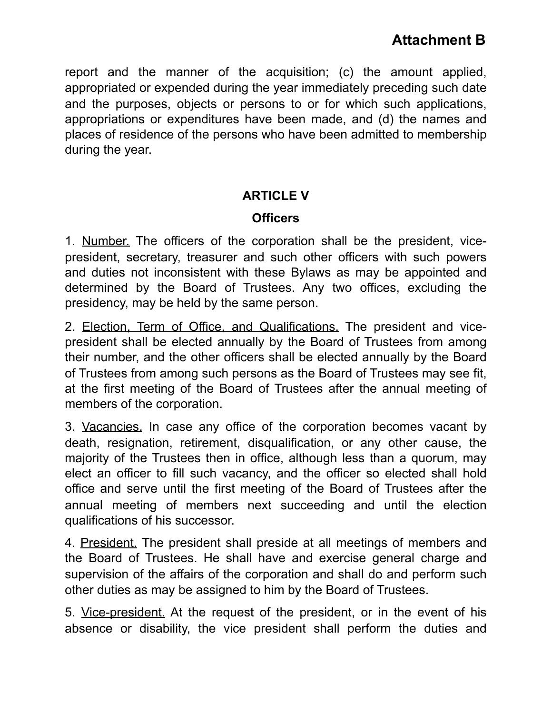report and the manner of the acquisition; (c) the amount applied, appropriated or expended during the year immediately preceding such date and the purposes, objects or persons to or for which such applications, appropriations or expenditures have been made, and (d) the names and places of residence of the persons who have been admitted to membership during the year.

#### **ARTICLE V**

#### **Officers**

1. Number. The officers of the corporation shall be the president, vicepresident, secretary, treasurer and such other officers with such powers and duties not inconsistent with these Bylaws as may be appointed and determined by the Board of Trustees. Any two offices, excluding the presidency, may be held by the same person.

2. Election, Term of Office, and Qualifications. The president and vicepresident shall be elected annually by the Board of Trustees from among their number, and the other officers shall be elected annually by the Board of Trustees from among such persons as the Board of Trustees may see fit, at the first meeting of the Board of Trustees after the annual meeting of members of the corporation.

3. Vacancies. In case any office of the corporation becomes vacant by death, resignation, retirement, disqualification, or any other cause, the majority of the Trustees then in office, although less than a quorum, may elect an officer to fill such vacancy, and the officer so elected shall hold office and serve until the first meeting of the Board of Trustees after the annual meeting of members next succeeding and until the election qualifications of his successor.

4. President. The president shall preside at all meetings of members and the Board of Trustees. He shall have and exercise general charge and supervision of the affairs of the corporation and shall do and perform such other duties as may be assigned to him by the Board of Trustees.

5. Vice-president. At the request of the president, or in the event of his absence or disability, the vice president shall perform the duties and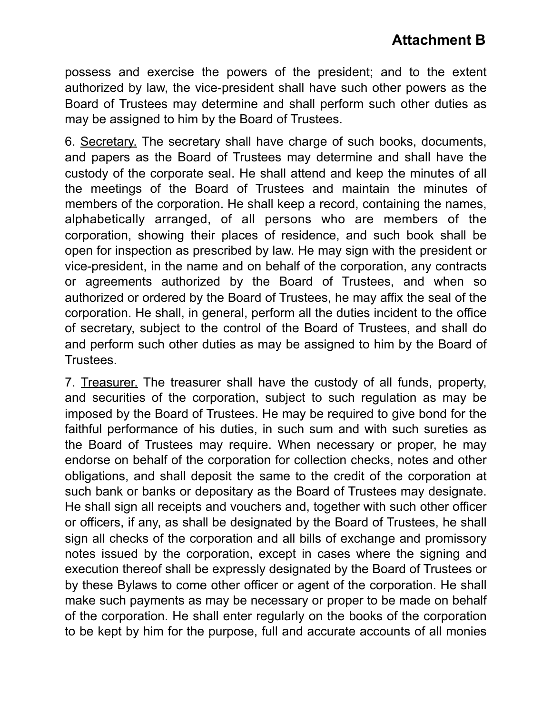possess and exercise the powers of the president; and to the extent authorized by law, the vice-president shall have such other powers as the Board of Trustees may determine and shall perform such other duties as may be assigned to him by the Board of Trustees.

6. Secretary. The secretary shall have charge of such books, documents, and papers as the Board of Trustees may determine and shall have the custody of the corporate seal. He shall attend and keep the minutes of all the meetings of the Board of Trustees and maintain the minutes of members of the corporation. He shall keep a record, containing the names, alphabetically arranged, of all persons who are members of the corporation, showing their places of residence, and such book shall be open for inspection as prescribed by law. He may sign with the president or vice-president, in the name and on behalf of the corporation, any contracts or agreements authorized by the Board of Trustees, and when so authorized or ordered by the Board of Trustees, he may affix the seal of the corporation. He shall, in general, perform all the duties incident to the office of secretary, subject to the control of the Board of Trustees, and shall do and perform such other duties as may be assigned to him by the Board of Trustees.

7. Treasurer. The treasurer shall have the custody of all funds, property, and securities of the corporation, subject to such regulation as may be imposed by the Board of Trustees. He may be required to give bond for the faithful performance of his duties, in such sum and with such sureties as the Board of Trustees may require. When necessary or proper, he may endorse on behalf of the corporation for collection checks, notes and other obligations, and shall deposit the same to the credit of the corporation at such bank or banks or depositary as the Board of Trustees may designate. He shall sign all receipts and vouchers and, together with such other officer or officers, if any, as shall be designated by the Board of Trustees, he shall sign all checks of the corporation and all bills of exchange and promissory notes issued by the corporation, except in cases where the signing and execution thereof shall be expressly designated by the Board of Trustees or by these Bylaws to come other officer or agent of the corporation. He shall make such payments as may be necessary or proper to be made on behalf of the corporation. He shall enter regularly on the books of the corporation to be kept by him for the purpose, full and accurate accounts of all monies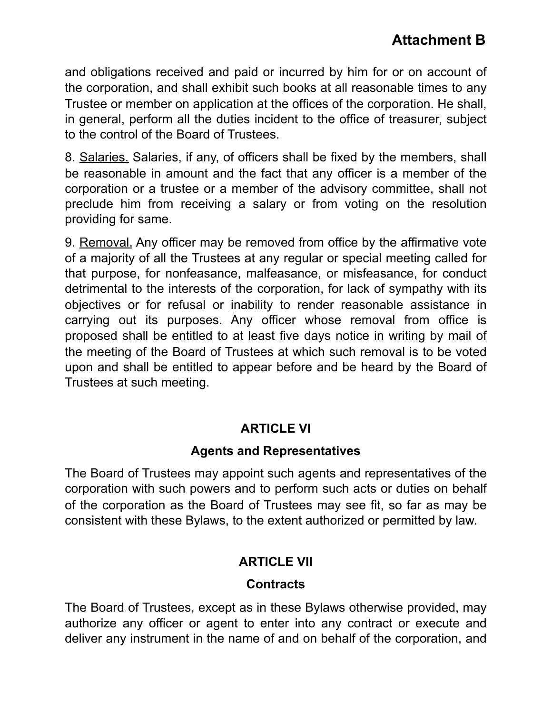and obligations received and paid or incurred by him for or on account of the corporation, and shall exhibit such books at all reasonable times to any Trustee or member on application at the offices of the corporation. He shall, in general, perform all the duties incident to the office of treasurer, subject to the control of the Board of Trustees.

8. Salaries. Salaries, if any, of officers shall be fixed by the members, shall be reasonable in amount and the fact that any officer is a member of the corporation or a trustee or a member of the advisory committee, shall not preclude him from receiving a salary or from voting on the resolution providing for same.

9. Removal. Any officer may be removed from office by the affirmative vote of a majority of all the Trustees at any regular or special meeting called for that purpose, for nonfeasance, malfeasance, or misfeasance, for conduct detrimental to the interests of the corporation, for lack of sympathy with its objectives or for refusal or inability to render reasonable assistance in carrying out its purposes. Any officer whose removal from office is proposed shall be entitled to at least five days notice in writing by mail of the meeting of the Board of Trustees at which such removal is to be voted upon and shall be entitled to appear before and be heard by the Board of Trustees at such meeting.

#### **ARTICLE VI**

#### **Agents and Representatives**

The Board of Trustees may appoint such agents and representatives of the corporation with such powers and to perform such acts or duties on behalf of the corporation as the Board of Trustees may see fit, so far as may be consistent with these Bylaws, to the extent authorized or permitted by law.

### **ARTICLE VII**

### **Contracts**

The Board of Trustees, except as in these Bylaws otherwise provided, may authorize any officer or agent to enter into any contract or execute and deliver any instrument in the name of and on behalf of the corporation, and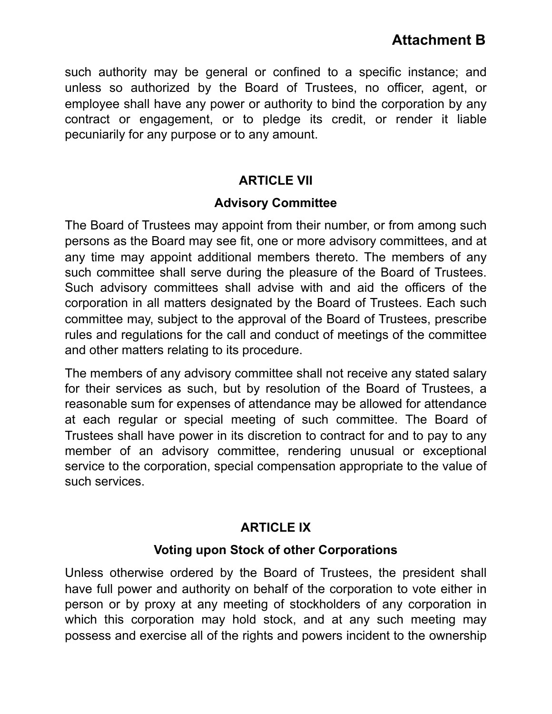such authority may be general or confined to a specific instance; and unless so authorized by the Board of Trustees, no officer, agent, or employee shall have any power or authority to bind the corporation by any contract or engagement, or to pledge its credit, or render it liable pecuniarily for any purpose or to any amount.

#### **ARTICLE VII**

#### **Advisory Committee**

The Board of Trustees may appoint from their number, or from among such persons as the Board may see fit, one or more advisory committees, and at any time may appoint additional members thereto. The members of any such committee shall serve during the pleasure of the Board of Trustees. Such advisory committees shall advise with and aid the officers of the corporation in all matters designated by the Board of Trustees. Each such committee may, subject to the approval of the Board of Trustees, prescribe rules and regulations for the call and conduct of meetings of the committee and other matters relating to its procedure.

The members of any advisory committee shall not receive any stated salary for their services as such, but by resolution of the Board of Trustees, a reasonable sum for expenses of attendance may be allowed for attendance at each regular or special meeting of such committee. The Board of Trustees shall have power in its discretion to contract for and to pay to any member of an advisory committee, rendering unusual or exceptional service to the corporation, special compensation appropriate to the value of such services.

## **ARTICLE IX**

### **Voting upon Stock of other Corporations**

Unless otherwise ordered by the Board of Trustees, the president shall have full power and authority on behalf of the corporation to vote either in person or by proxy at any meeting of stockholders of any corporation in which this corporation may hold stock, and at any such meeting may possess and exercise all of the rights and powers incident to the ownership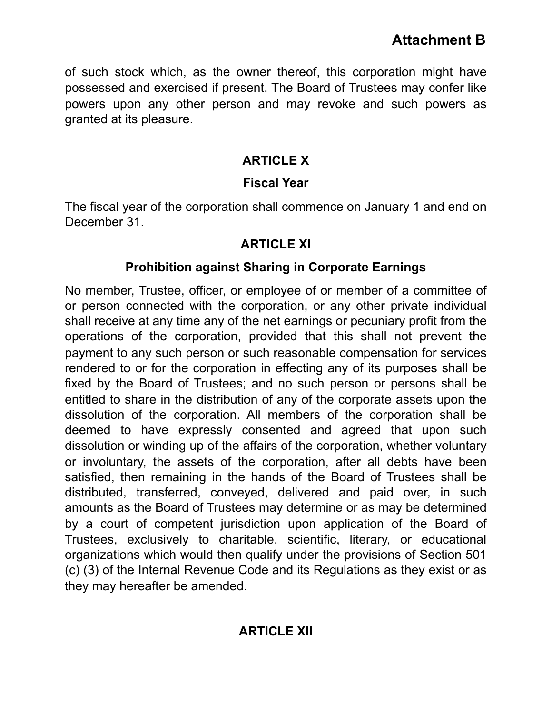of such stock which, as the owner thereof, this corporation might have possessed and exercised if present. The Board of Trustees may confer like powers upon any other person and may revoke and such powers as granted at its pleasure.

### **ARTICLE X**

## **Fiscal Year**

The fiscal year of the corporation shall commence on January 1 and end on December 31.

### **ARTICLE XI**

## **Prohibition against Sharing in Corporate Earnings**

No member, Trustee, officer, or employee of or member of a committee of or person connected with the corporation, or any other private individual shall receive at any time any of the net earnings or pecuniary profit from the operations of the corporation, provided that this shall not prevent the payment to any such person or such reasonable compensation for services rendered to or for the corporation in effecting any of its purposes shall be fixed by the Board of Trustees; and no such person or persons shall be entitled to share in the distribution of any of the corporate assets upon the dissolution of the corporation. All members of the corporation shall be deemed to have expressly consented and agreed that upon such dissolution or winding up of the affairs of the corporation, whether voluntary or involuntary, the assets of the corporation, after all debts have been satisfied, then remaining in the hands of the Board of Trustees shall be distributed, transferred, conveyed, delivered and paid over, in such amounts as the Board of Trustees may determine or as may be determined by a court of competent jurisdiction upon application of the Board of Trustees, exclusively to charitable, scientific, literary, or educational organizations which would then qualify under the provisions of Section 501 (c) (3) of the Internal Revenue Code and its Regulations as they exist or as they may hereafter be amended.

### **ARTICLE XII**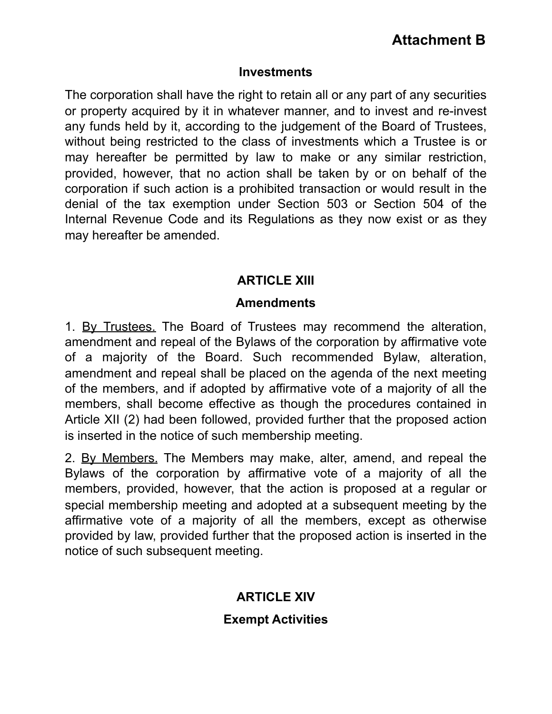#### **Investments**

The corporation shall have the right to retain all or any part of any securities or property acquired by it in whatever manner, and to invest and re-invest any funds held by it, according to the judgement of the Board of Trustees, without being restricted to the class of investments which a Trustee is or may hereafter be permitted by law to make or any similar restriction, provided, however, that no action shall be taken by or on behalf of the corporation if such action is a prohibited transaction or would result in the denial of the tax exemption under Section 503 or Section 504 of the Internal Revenue Code and its Regulations as they now exist or as they may hereafter be amended.

#### **ARTICLE XIII**

#### **Amendments**

1. By Trustees. The Board of Trustees may recommend the alteration, amendment and repeal of the Bylaws of the corporation by affirmative vote of a majority of the Board. Such recommended Bylaw, alteration, amendment and repeal shall be placed on the agenda of the next meeting of the members, and if adopted by affirmative vote of a majority of all the members, shall become effective as though the procedures contained in Article XII (2) had been followed, provided further that the proposed action is inserted in the notice of such membership meeting.

2. By Members. The Members may make, alter, amend, and repeal the Bylaws of the corporation by affirmative vote of a majority of all the members, provided, however, that the action is proposed at a regular or special membership meeting and adopted at a subsequent meeting by the affirmative vote of a majority of all the members, except as otherwise provided by law, provided further that the proposed action is inserted in the notice of such subsequent meeting.

### **ARTICLE XIV**

#### **Exempt Activities**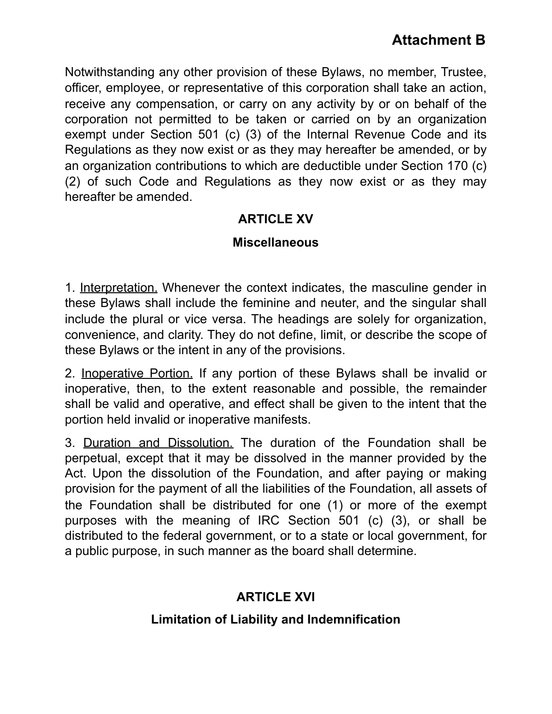Notwithstanding any other provision of these Bylaws, no member, Trustee, officer, employee, or representative of this corporation shall take an action, receive any compensation, or carry on any activity by or on behalf of the corporation not permitted to be taken or carried on by an organization exempt under Section 501 (c) (3) of the Internal Revenue Code and its Regulations as they now exist or as they may hereafter be amended, or by an organization contributions to which are deductible under Section 170 (c) (2) of such Code and Regulations as they now exist or as they may hereafter be amended.

#### **ARTICLE XV**

#### **Miscellaneous**

1. Interpretation. Whenever the context indicates, the masculine gender in these Bylaws shall include the feminine and neuter, and the singular shall include the plural or vice versa. The headings are solely for organization, convenience, and clarity. They do not define, limit, or describe the scope of these Bylaws or the intent in any of the provisions.

2. Inoperative Portion. If any portion of these Bylaws shall be invalid or inoperative, then, to the extent reasonable and possible, the remainder shall be valid and operative, and effect shall be given to the intent that the portion held invalid or inoperative manifests.

3. Duration and Dissolution. The duration of the Foundation shall be perpetual, except that it may be dissolved in the manner provided by the Act. Upon the dissolution of the Foundation, and after paying or making provision for the payment of all the liabilities of the Foundation, all assets of the Foundation shall be distributed for one (1) or more of the exempt purposes with the meaning of IRC Section 501 (c) (3), or shall be distributed to the federal government, or to a state or local government, for a public purpose, in such manner as the board shall determine.

### **ARTICLE XVI**

#### **Limitation of Liability and Indemnification**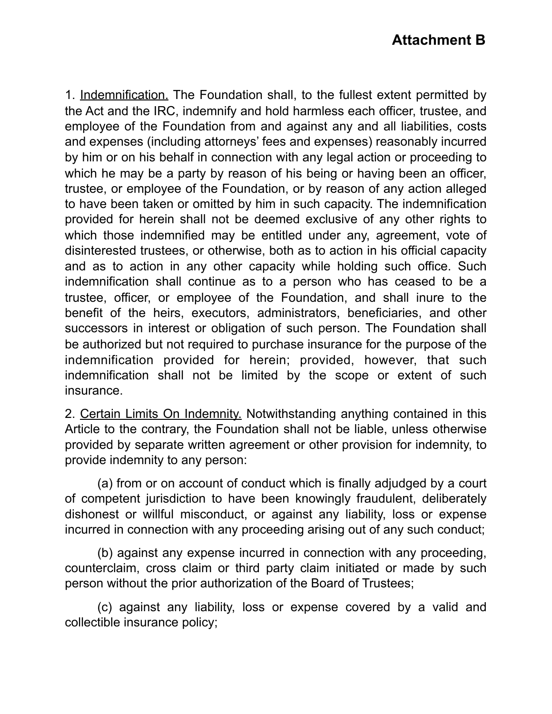1. Indemnification. The Foundation shall, to the fullest extent permitted by the Act and the IRC, indemnify and hold harmless each officer, trustee, and employee of the Foundation from and against any and all liabilities, costs and expenses (including attorneys' fees and expenses) reasonably incurred by him or on his behalf in connection with any legal action or proceeding to which he may be a party by reason of his being or having been an officer, trustee, or employee of the Foundation, or by reason of any action alleged to have been taken or omitted by him in such capacity. The indemnification provided for herein shall not be deemed exclusive of any other rights to which those indemnified may be entitled under any, agreement, vote of disinterested trustees, or otherwise, both as to action in his official capacity and as to action in any other capacity while holding such office. Such indemnification shall continue as to a person who has ceased to be a trustee, officer, or employee of the Foundation, and shall inure to the benefit of the heirs, executors, administrators, beneficiaries, and other successors in interest or obligation of such person. The Foundation shall be authorized but not required to purchase insurance for the purpose of the indemnification provided for herein; provided, however, that such indemnification shall not be limited by the scope or extent of such insurance.

2. Certain Limits On Indemnity. Notwithstanding anything contained in this Article to the contrary, the Foundation shall not be liable, unless otherwise provided by separate written agreement or other provision for indemnity, to provide indemnity to any person:

(a) from or on account of conduct which is finally adjudged by a court of competent jurisdiction to have been knowingly fraudulent, deliberately dishonest or willful misconduct, or against any liability, loss or expense incurred in connection with any proceeding arising out of any such conduct;

(b) against any expense incurred in connection with any proceeding, counterclaim, cross claim or third party claim initiated or made by such person without the prior authorization of the Board of Trustees;

(c) against any liability, loss or expense covered by a valid and collectible insurance policy;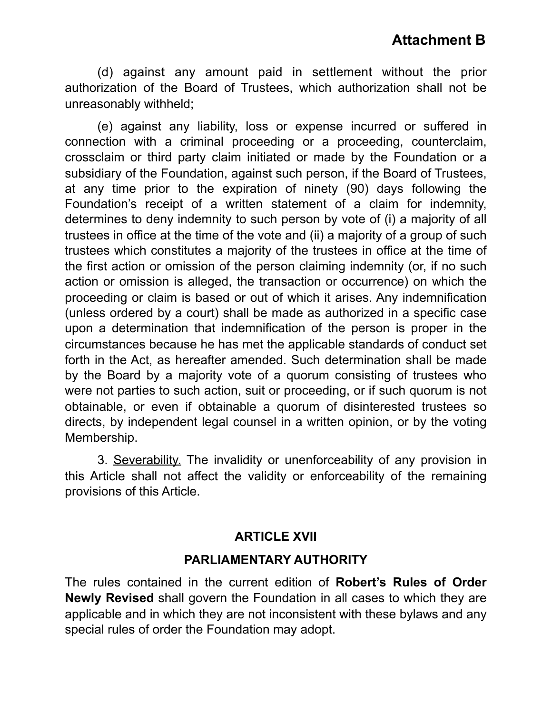(d) against any amount paid in settlement without the prior authorization of the Board of Trustees, which authorization shall not be unreasonably withheld;

(e) against any liability, loss or expense incurred or suffered in connection with a criminal proceeding or a proceeding, counterclaim, crossclaim or third party claim initiated or made by the Foundation or a subsidiary of the Foundation, against such person, if the Board of Trustees, at any time prior to the expiration of ninety (90) days following the Foundation's receipt of a written statement of a claim for indemnity, determines to deny indemnity to such person by vote of (i) a majority of all trustees in office at the time of the vote and (ii) a majority of a group of such trustees which constitutes a majority of the trustees in office at the time of the first action or omission of the person claiming indemnity (or, if no such action or omission is alleged, the transaction or occurrence) on which the proceeding or claim is based or out of which it arises. Any indemnification (unless ordered by a court) shall be made as authorized in a specific case upon a determination that indemnification of the person is proper in the circumstances because he has met the applicable standards of conduct set forth in the Act, as hereafter amended. Such determination shall be made by the Board by a majority vote of a quorum consisting of trustees who were not parties to such action, suit or proceeding, or if such quorum is not obtainable, or even if obtainable a quorum of disinterested trustees so directs, by independent legal counsel in a written opinion, or by the voting Membership.

3. Severability. The invalidity or unenforceability of any provision in this Article shall not affect the validity or enforceability of the remaining provisions of this Article.

#### **ARTICLE XVII**

#### **PARLIAMENTARY AUTHORITY**

The rules contained in the current edition of **Robert's Rules of Order Newly Revised** shall govern the Foundation in all cases to which they are applicable and in which they are not inconsistent with these bylaws and any special rules of order the Foundation may adopt.